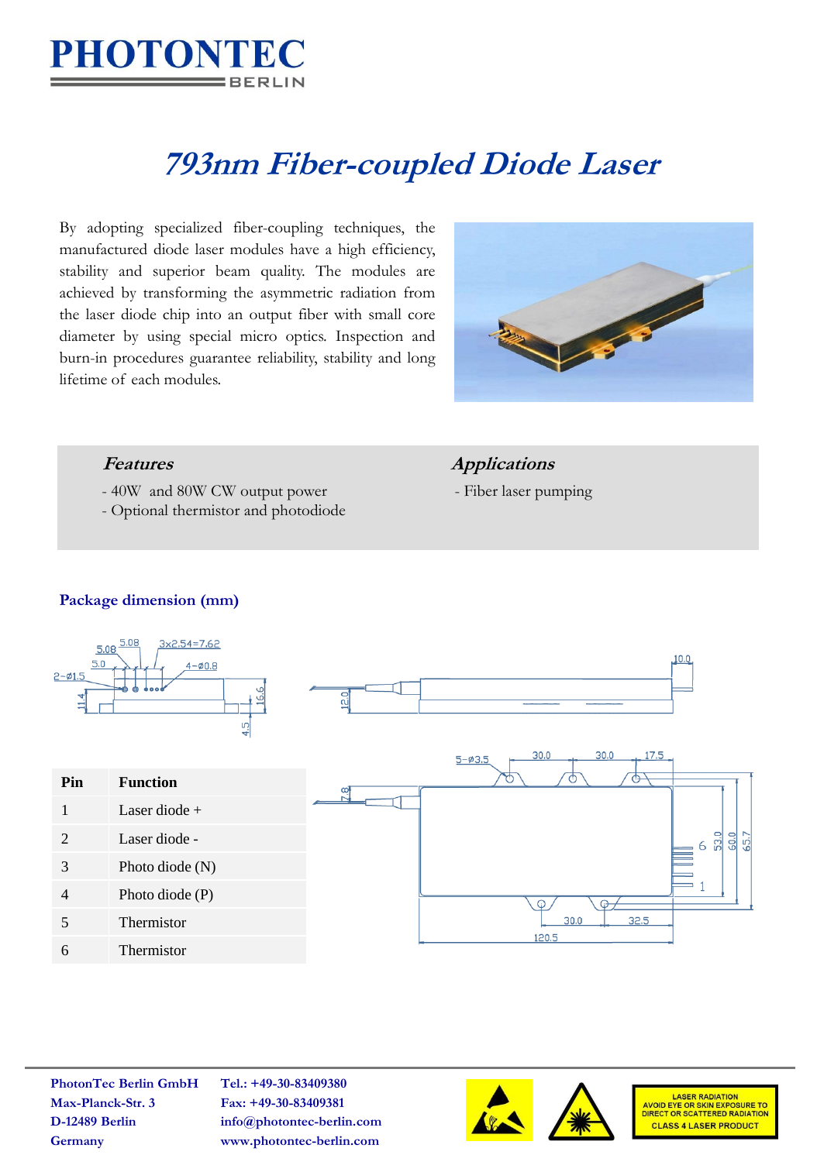

# **793nm Fiber-coupled Diode Laser**

By adopting specialized fiber-coupling techniques, the manufactured diode laser modules have a high efficiency, stability and superior beam quality. The modules are achieved by transforming the asymmetric radiation from the laser diode chip into an output fiber with small core diameter by using special micro optics. Inspection and burn-in procedures guarantee reliability, stability and long lifetime of each modules.



- 40W and 80W CW output power Fiber laser pumping
- Optional thermistor and photodiode

### *Features Applications*

#### **Package dimension (mm)**



**PhotonTec Berlin GmbH Tel.: +49-30-83409380 Max-Planck-Str. 3 Fax: +49-30-83409381**

**D-12489 Berlin info@photontec-berlin.com Germany www.photontec-berlin.com**





LASER RADIATION<br>AVOID EYE OR SKIN EXPOSURE TO<br>DIRECT OR SCATTERED RADIATION **CLASS 4 LASER PRODUCT**